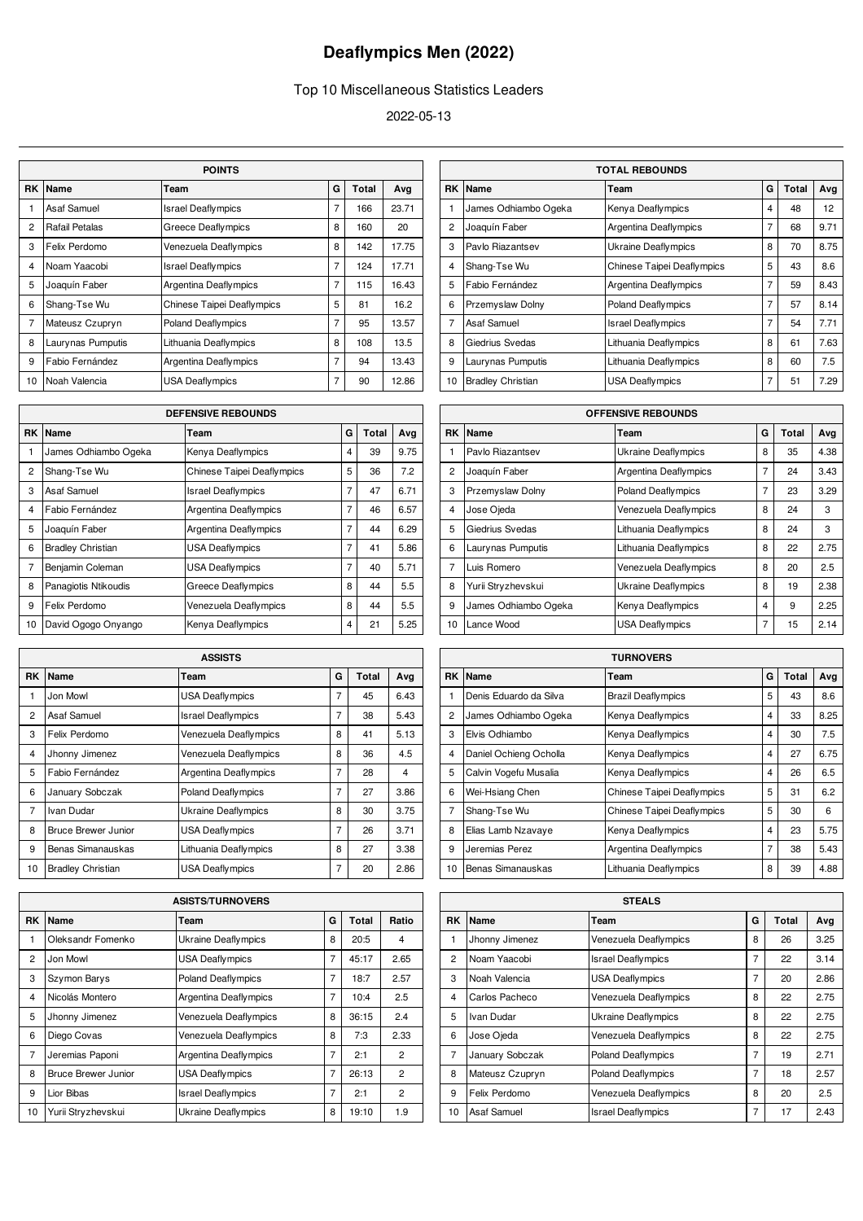## **Deaflympics Men (2022)**

## Top 10 Miscellaneous Statistics Leaders

2022-05-13

|                | <b>POINTS</b>              |                            |                |     |       |  |  |  |
|----------------|----------------------------|----------------------------|----------------|-----|-------|--|--|--|
| RK             | Name<br>G<br>Total<br>Team |                            |                |     |       |  |  |  |
| 1              | Asaf Samuel                | <b>Israel Deaflympics</b>  | 7              | 166 | 23.71 |  |  |  |
| $\overline{2}$ | Rafail Petalas             | <b>Greece Deaflympics</b>  | 8              | 160 | 20    |  |  |  |
| 3              | Felix Perdomo              | Venezuela Deaflympics      | 8              | 142 | 17.75 |  |  |  |
| $\overline{4}$ | Noam Yaacobi               | <b>Israel Deaflympics</b>  | $\overline{7}$ | 124 | 17.71 |  |  |  |
| 5              | Joaquín Faber              | Argentina Deaflympics      | $\overline{7}$ | 115 | 16.43 |  |  |  |
| 6              | Shang-Tse Wu               | Chinese Taipei Deaflympics | 5              | 81  | 16.2  |  |  |  |
| $\overline{7}$ | Mateusz Czupryn            | <b>Poland Deaflympics</b>  | $\overline{7}$ | 95  | 13.57 |  |  |  |
| 8              | Laurynas Pumputis          | Lithuania Deaflympics      | 8              | 108 | 13.5  |  |  |  |
| 9              | Fabio Fernández            | Argentina Deaflympics      | $\overline{7}$ | 94  | 13.43 |  |  |  |
| 10             | Noah Valencia              | <b>USA Deaflympics</b>     | 7              | 90  | 12.86 |  |  |  |

| <b>DEFENSIVE REBOUNDS</b> |                          |                            |                |       |      |  |
|---------------------------|--------------------------|----------------------------|----------------|-------|------|--|
| <b>RK</b>                 | Name                     | Team                       | G              | Total | Avg  |  |
| 1                         | James Odhiambo Ogeka     | Kenya Deaflympics          | $\overline{4}$ | 39    | 9.75 |  |
| $\overline{2}$            | Shang-Tse Wu             | Chinese Taipei Deaflympics | 5              | 36    | 7.2  |  |
| 3                         | Asaf Samuel              | <b>Israel Deaflympics</b>  | 7              | 47    | 6.71 |  |
| 4                         | Fabio Fernández          | Argentina Deaflympics      | 7              | 46    | 6.57 |  |
| 5                         | Joaquín Faber            | Argentina Deaflympics      | 7              | 44    | 6.29 |  |
| 6                         | <b>Bradley Christian</b> | <b>USA Deaflympics</b>     | $\overline{7}$ | 41    | 5.86 |  |
| $\overline{7}$            | Benjamin Coleman         | <b>USA Deaflympics</b>     | 7              | 40    | 5.71 |  |
| 8                         | Panagiotis Ntikoudis     | Greece Deaflympics         | 8              | 44    | 5.5  |  |
| 9                         | Felix Perdomo            | Venezuela Deaflympics      | 8              | 44    | 5.5  |  |
| 10                        | David Ogogo Onyango      | Kenya Deaflympics          | 4              | 21    | 5.25 |  |

| <b>ASSISTS</b> |                            |                           |                |              |      |  |
|----------------|----------------------------|---------------------------|----------------|--------------|------|--|
| RK             | Name                       | Team                      | G              | <b>Total</b> | Avg  |  |
| 1              | Jon Mowl                   | <b>USA Deaflympics</b>    | 7              | 45           | 6.43 |  |
| $\overline{2}$ | Asaf Samuel                | <b>Israel Deaflympics</b> | 7              | 38           | 5.43 |  |
| 3              | Felix Perdomo              | Venezuela Deaflympics     | 8              | 41           | 5.13 |  |
| 4              | Jhonny Jimenez             | Venezuela Deaflympics     | 8              | 36           | 4.5  |  |
| 5              | Fabio Fernández            | Argentina Deaflympics     | 7              | 28           | 4    |  |
| 6              | January Sobczak            | <b>Poland Deaflympics</b> | 7              | 27           | 3.86 |  |
| 7              | Ivan Dudar                 | Ukraine Deaflympics       | 8              | 30           | 3.75 |  |
| 8              | <b>Bruce Brewer Junior</b> | <b>USA Deaflympics</b>    | $\overline{7}$ | 26           | 3.71 |  |
| 9              | Benas Simanauskas          | Lithuania Deaflympics     | 8              | 27           | 3.38 |  |
| 10             | <b>Bradley Christian</b>   | <b>USA Deaflympics</b>    | 7              | 20           | 2.86 |  |

|                         | <b>ASISTS/TURNOVERS</b>    |                            |                |       |                |  |  |  |
|-------------------------|----------------------------|----------------------------|----------------|-------|----------------|--|--|--|
| RK                      | Name                       | Team                       | G              | Total | Ratio          |  |  |  |
| 1                       | Oleksandr Fomenko          | <b>Ukraine Deaflympics</b> | 8              | 20:5  | 4              |  |  |  |
| $\overline{2}$          | Jon Mowl                   | <b>USA Deaflympics</b>     | $\overline{7}$ | 45:17 | 2.65           |  |  |  |
| 3                       | Szymon Barys               | <b>Poland Deaflympics</b>  | 7              | 18:7  | 2.57           |  |  |  |
| $\overline{\mathbf{4}}$ | Nicolás Montero            | Argentina Deaflympics      | $\overline{7}$ | 10:4  | 2.5            |  |  |  |
| 5                       | Jhonny Jimenez             | Venezuela Deaflympics      | 8              | 36:15 | 2.4            |  |  |  |
| 6                       | Diego Covas                | Venezuela Deaflympics      | 8              | 7:3   | 2.33           |  |  |  |
| $\overline{7}$          | Jeremias Paponi            | Argentina Deaflympics      | $\overline{7}$ | 2:1   | $\mathfrak{p}$ |  |  |  |
| 8                       | <b>Bruce Brewer Junior</b> | <b>USA Deaflympics</b>     | $\overline{7}$ | 26:13 | $\overline{2}$ |  |  |  |
| 9                       | Lior Bibas                 | <b>Israel Deaflympics</b>  | $\overline{7}$ | 2:1   | $\overline{2}$ |  |  |  |
| 10                      | Yurii Stryzhevskui         | Ukraine Deaflympics        | 8              | 19:10 | 1.9            |  |  |  |

|                | <b>TOTAL REBOUNDS</b>    |                                   |   |       |                   |  |  |
|----------------|--------------------------|-----------------------------------|---|-------|-------------------|--|--|
| <b>RK</b>      | Name                     | Team                              | G | Total | Ava               |  |  |
| 1              | James Odhiambo Ogeka     | Kenya Deaflympics                 | 4 | 48    | $12 \overline{ }$ |  |  |
| $\overline{2}$ | Joaquín Faber            | <b>Argentina Deaflympics</b>      | 7 | 68    | 9.71              |  |  |
| 3              | Pavlo Riazantsev         | Ukraine Deaflympics               | 8 | 70    | 8.75              |  |  |
| $\overline{4}$ | Shang-Tse Wu             | <b>Chinese Taipei Deaflympics</b> | 5 | 43    | 8.6               |  |  |
| 5              | Fabio Fernández          | <b>Argentina Deaflympics</b>      | 7 | 59    | 8.43              |  |  |
| 6              | Przemyslaw Dolny         | <b>Poland Deaflympics</b>         | 7 | 57    | 8.14              |  |  |
| $\overline{7}$ | Asaf Samuel              | <b>Israel Deaflympics</b>         | 7 | 54    | 7.71              |  |  |
| 8              | Giedrius Svedas          | Lithuania Deaflympics             | 8 | 61    | 7.63              |  |  |
| 9              | Laurynas Pumputis        | Lithuania Deaflympics             | 8 | 60    | 7.5               |  |  |
| 10             | <b>Bradley Christian</b> | <b>USA Deaflympics</b>            | 7 | 51    | 7.29              |  |  |

|                | <b>OFFENSIVE REBOUNDS</b> |                            |   |       |      |  |  |  |
|----------------|---------------------------|----------------------------|---|-------|------|--|--|--|
| RK             | Name                      | Team                       | G | Total | Avg  |  |  |  |
| 1              | Pavlo Riazantsev          | <b>Ukraine Deaflympics</b> | 8 | 35    | 4.38 |  |  |  |
| $\overline{c}$ | Joaquín Faber             | Argentina Deaflympics      | 7 | 24    | 3.43 |  |  |  |
| 3              | <b>Przemyslaw Dolny</b>   | <b>Poland Deaflympics</b>  | 7 | 23    | 3.29 |  |  |  |
| 4              | Jose Ojeda                | Venezuela Deaflympics      | 8 | 24    | 3    |  |  |  |
| 5              | Giedrius Svedas           | Lithuania Deaflympics      | 8 | 24    | 3    |  |  |  |
| 6              | Laurynas Pumputis         | Lithuania Deaflympics      | 8 | 22    | 2.75 |  |  |  |
| $\overline{7}$ | Luis Romero               | Venezuela Deaflympics      | 8 | 20    | 2.5  |  |  |  |
| 8              | Yurii Stryzhevskui        | Ukraine Deaflympics        | 8 | 19    | 2.38 |  |  |  |
| 9              | James Odhiambo Ogeka      | Kenya Deaflympics          | 4 | 9     | 2.25 |  |  |  |
| 10             | Lance Wood                | <b>USA Deaflympics</b>     | 7 | 15    | 2.14 |  |  |  |

| <b>TURNOVERS</b> |                        |                                   |   |              |      |  |
|------------------|------------------------|-----------------------------------|---|--------------|------|--|
| RK.              | Name                   | Team                              | G | <b>Total</b> | Avg  |  |
| 1                | Denis Eduardo da Silva | <b>Brazil Deaflympics</b>         | 5 | 43           | 8.6  |  |
| $\overline{2}$   | James Odhiambo Ogeka   | Kenya Deaflympics                 | 4 | 33           | 8.25 |  |
| 3                | Elvis Odhiambo         | Kenya Deaflympics                 | 4 | 30           | 7.5  |  |
| 4                | Daniel Ochieng Ocholla | Kenya Deaflympics                 | 4 | 27           | 6.75 |  |
| 5                | Calvin Vogefu Musalia  | Kenya Deaflympics                 | 4 | 26           | 6.5  |  |
| 6                | Wei-Hsiang Chen        | <b>Chinese Taipei Deaflympics</b> | 5 | 31           | 6.2  |  |
| $\overline{7}$   | Shang-Tse Wu           | Chinese Taipei Deaflympics        | 5 | 30           | 6    |  |
| 8                | Elias Lamb Nzavaye     | Kenya Deaflympics                 | 4 | 23           | 5.75 |  |
| 9                | Jeremias Perez         | Argentina Deaflympics             | 7 | 38           | 5.43 |  |
| 10               | Benas Simanauskas      | Lithuania Deaflympics             | 8 | 39           | 4.88 |  |

| <b>STEALS</b>  |                 |                            |                |       |      |  |  |
|----------------|-----------------|----------------------------|----------------|-------|------|--|--|
| RK             | Name            | Team                       | G              | Total | Avg  |  |  |
| 1              | Jhonny Jimenez  | Venezuela Deaflympics      | 8              | 26    | 3.25 |  |  |
| $\overline{2}$ | Noam Yaacobi    | <b>Israel Deaflympics</b>  | 7              | 22    | 3.14 |  |  |
| 3              | Noah Valencia   | <b>USA Deaflympics</b>     | 7              | 20    | 2.86 |  |  |
| $\overline{4}$ | Carlos Pacheco  | Venezuela Deaflympics      | 8              | 22    | 2.75 |  |  |
| 5              | Ivan Dudar      | <b>Ukraine Deaflympics</b> | 8              | 22    | 2.75 |  |  |
| 6              | Jose Ojeda      | Venezuela Deaflympics      | 8              | 22    | 2.75 |  |  |
| $\overline{7}$ | January Sobczak | <b>Poland Deaflympics</b>  | 7              | 19    | 2.71 |  |  |
| 8              | Mateusz Czupryn | <b>Poland Deaflympics</b>  | 7              | 18    | 2.57 |  |  |
| 9              | Felix Perdomo   | Venezuela Deaflympics      | 8              | 20    | 2.5  |  |  |
| 10             | Asaf Samuel     | <b>Israel Deaflympics</b>  | $\overline{7}$ | 17    | 2.43 |  |  |